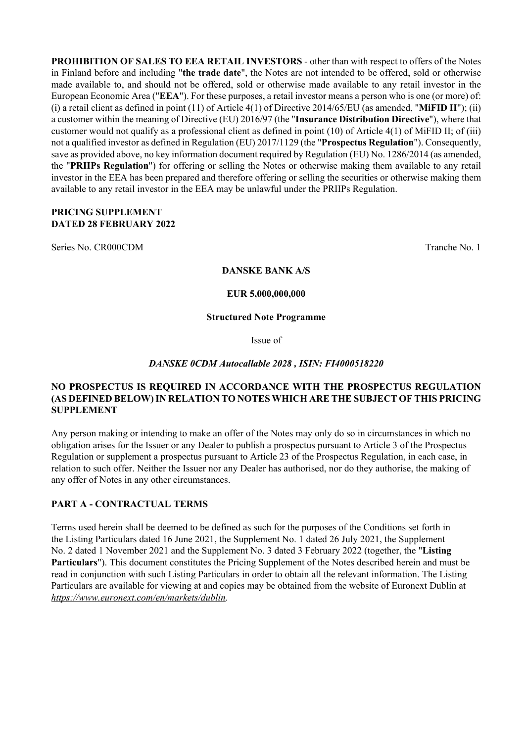**PROHIBITION OF SALES TO EEA RETAIL INVESTORS** - other than with respect to offers of the Notes in Finland before and including "**the trade date**", the Notes are not intended to be offered, sold or otherwise made available to, and should not be offered, sold or otherwise made available to any retail investor in the European Economic Area ("**EEA**"). For these purposes, a retail investor means a person who is one (or more) of: (i) a retail client as defined in point (11) of Article 4(1) of Directive 2014/65/EU (as amended, "**MiFID II**"); (ii) a customer within the meaning of Directive (EU) 2016/97 (the "**Insurance Distribution Directive**"), where that customer would not qualify as a professional client as defined in point (10) of Article 4(1) of MiFID II; of (iii) not a qualified investor as defined in Regulation (EU) 2017/1129 (the "**Prospectus Regulation**"). Consequently, save as provided above, no key information document required by Regulation (EU) No. 1286/2014 (as amended, the "**PRIIPs Regulation**") for offering or selling the Notes or otherwise making them available to any retail investor in the EEA has been prepared and therefore offering or selling the securities or otherwise making them available to any retail investor in the EEA may be unlawful under the PRIIPs Regulation.

## **PRICING SUPPLEMENT DATED 28 FEBRUARY 2022**

Series No. CR000CDM Tranche No. 1

#### **DANSKE BANK A/S**

**EUR 5,000,000,000**

#### **Structured Note Programme**

Issue of

## *DANSKE 0CDM Autocallable 2028 , ISIN: FI4000518220*

## **NO PROSPECTUS IS REQUIRED IN ACCORDANCE WITH THE PROSPECTUS REGULATION (AS DEFINED BELOW) IN RELATION TO NOTES WHICH ARE THE SUBJECT OF THIS PRICING SUPPLEMENT**

Any person making or intending to make an offer of the Notes may only do so in circumstances in which no obligation arises for the Issuer or any Dealer to publish a prospectus pursuant to Article 3 of the Prospectus Regulation or supplement a prospectus pursuant to Article 23 of the Prospectus Regulation, in each case, in relation to such offer. Neither the Issuer nor any Dealer has authorised, nor do they authorise, the making of any offer of Notes in any other circumstances.

## **PART A - CONTRACTUAL TERMS**

Terms used herein shall be deemed to be defined as such for the purposes of the Conditions set forth in the Listing Particulars dated 16 June 2021, the Supplement No. 1 dated 26 July 2021, the Supplement No. 2 dated 1 November 2021 and the Supplement No. 3 dated 3 February 2022 (together, the "**Listing Particulars**"). This document constitutes the Pricing Supplement of the Notes described herein and must be read in conjunction with such Listing Particulars in order to obtain all the relevant information. The Listing Particulars are available for viewing at and copies may be obtained from the website of Euronext Dublin at *https://www.euronext.com/en/markets/dublin.*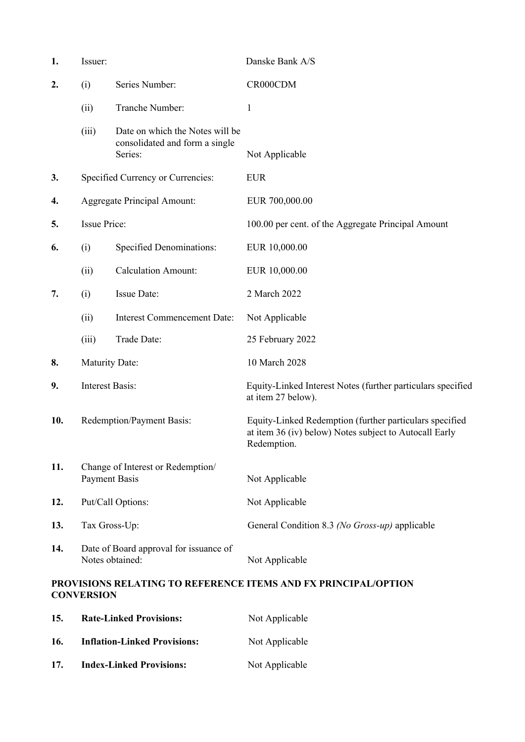| 1.  | Issuer:                                                   |                                                                              | Danske Bank A/S                                                                                                                  |
|-----|-----------------------------------------------------------|------------------------------------------------------------------------------|----------------------------------------------------------------------------------------------------------------------------------|
| 2.  | (i)                                                       | Series Number:                                                               | CR000CDM                                                                                                                         |
|     | (ii)                                                      | Tranche Number:                                                              | $\mathbf{1}$                                                                                                                     |
|     | (iii)                                                     | Date on which the Notes will be<br>consolidated and form a single<br>Series: | Not Applicable                                                                                                                   |
| 3.  |                                                           | Specified Currency or Currencies:                                            | <b>EUR</b>                                                                                                                       |
| 4.  |                                                           | <b>Aggregate Principal Amount:</b>                                           | EUR 700,000.00                                                                                                                   |
| 5.  | <b>Issue Price:</b>                                       |                                                                              | 100.00 per cent. of the Aggregate Principal Amount                                                                               |
| 6.  | (i)                                                       | <b>Specified Denominations:</b>                                              | EUR 10,000.00                                                                                                                    |
|     | (ii)                                                      | <b>Calculation Amount:</b>                                                   | EUR 10,000.00                                                                                                                    |
| 7.  | (i)                                                       | Issue Date:                                                                  | 2 March 2022                                                                                                                     |
|     | (ii)                                                      | <b>Interest Commencement Date:</b>                                           | Not Applicable                                                                                                                   |
|     | (iii)                                                     | Trade Date:                                                                  | 25 February 2022                                                                                                                 |
| 8.  | <b>Maturity Date:</b>                                     |                                                                              | 10 March 2028                                                                                                                    |
| 9.  | <b>Interest Basis:</b>                                    |                                                                              | Equity-Linked Interest Notes (further particulars specified<br>at item 27 below).                                                |
| 10. | Redemption/Payment Basis:                                 |                                                                              | Equity-Linked Redemption (further particulars specified<br>at item 36 (iv) below) Notes subject to Autocall Early<br>Redemption. |
| 11. | Change of Interest or Redemption/<br><b>Payment Basis</b> |                                                                              | Not Applicable                                                                                                                   |
| 12. | Put/Call Options:                                         |                                                                              | Not Applicable                                                                                                                   |
| 13. | Tax Gross-Up:                                             |                                                                              | General Condition 8.3 (No Gross-up) applicable                                                                                   |
| 14. | Notes obtained:                                           | Date of Board approval for issuance of                                       | Not Applicable                                                                                                                   |
|     | <b>CONVERSION</b>                                         |                                                                              | PROVISIONS RELATING TO REFERENCE ITEMS AND FX PRINCIPAL/OPTION                                                                   |

| 15. | <b>Rate-Linked Provisions:</b>      | Not Applicable |
|-----|-------------------------------------|----------------|
| 16. | <b>Inflation-Linked Provisions:</b> | Not Applicable |
| 17. | <b>Index-Linked Provisions:</b>     | Not Applicable |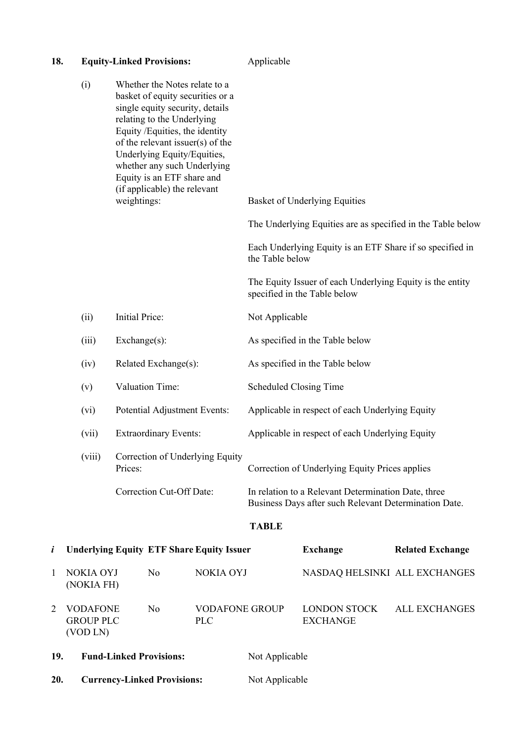| 18.            | <b>Equity-Linked Provisions:</b>                |                |                                                                                                                                                                                                                                                                                                                                      | Applicable                                       |                                                 |                                                                                                                                                                  |                         |
|----------------|-------------------------------------------------|----------------|--------------------------------------------------------------------------------------------------------------------------------------------------------------------------------------------------------------------------------------------------------------------------------------------------------------------------------------|--------------------------------------------------|-------------------------------------------------|------------------------------------------------------------------------------------------------------------------------------------------------------------------|-------------------------|
|                | (i)                                             | weightings:    | Whether the Notes relate to a<br>basket of equity securities or a<br>single equity security, details<br>relating to the Underlying<br>Equity /Equities, the identity<br>of the relevant issuer(s) of the<br>Underlying Equity/Equities,<br>whether any such Underlying<br>Equity is an ETF share and<br>(if applicable) the relevant |                                                  |                                                 | <b>Basket of Underlying Equities</b><br>The Underlying Equities are as specified in the Table below<br>Each Underlying Equity is an ETF Share if so specified in |                         |
|                |                                                 |                |                                                                                                                                                                                                                                                                                                                                      |                                                  | the Table below                                 |                                                                                                                                                                  |                         |
|                |                                                 |                |                                                                                                                                                                                                                                                                                                                                      |                                                  |                                                 | The Equity Issuer of each Underlying Equity is the entity<br>specified in the Table below                                                                        |                         |
|                | (ii)                                            | Initial Price: |                                                                                                                                                                                                                                                                                                                                      |                                                  | Not Applicable                                  |                                                                                                                                                                  |                         |
|                | (iii)                                           | Exchange(s):   |                                                                                                                                                                                                                                                                                                                                      |                                                  |                                                 | As specified in the Table below                                                                                                                                  |                         |
|                | (iv)                                            |                | Related Exchange(s):                                                                                                                                                                                                                                                                                                                 |                                                  |                                                 | As specified in the Table below                                                                                                                                  |                         |
|                | (v)                                             |                | Valuation Time:                                                                                                                                                                                                                                                                                                                      |                                                  | <b>Scheduled Closing Time</b>                   |                                                                                                                                                                  |                         |
|                | (vi)                                            |                | Potential Adjustment Events:                                                                                                                                                                                                                                                                                                         |                                                  |                                                 | Applicable in respect of each Underlying Equity                                                                                                                  |                         |
|                | (vii)                                           |                | <b>Extraordinary Events:</b>                                                                                                                                                                                                                                                                                                         |                                                  | Applicable in respect of each Underlying Equity |                                                                                                                                                                  |                         |
|                | (viii)                                          | Prices:        |                                                                                                                                                                                                                                                                                                                                      | Correction of Underlying Equity                  | Correction of Underlying Equity Prices applies  |                                                                                                                                                                  |                         |
|                |                                                 |                | Correction Cut-Off Date:                                                                                                                                                                                                                                                                                                             |                                                  |                                                 | In relation to a Relevant Determination Date, three<br>Business Days after such Relevant Determination Date.                                                     |                         |
|                |                                                 |                |                                                                                                                                                                                                                                                                                                                                      |                                                  | <b>TABLE</b>                                    |                                                                                                                                                                  |                         |
| i              |                                                 |                |                                                                                                                                                                                                                                                                                                                                      | <b>Underlying Equity ETF Share Equity Issuer</b> |                                                 | <b>Exchange</b>                                                                                                                                                  | <b>Related Exchange</b> |
| 1              | <b>NOKIA OYJ</b><br>(NOKIA FH)                  |                | N <sub>o</sub>                                                                                                                                                                                                                                                                                                                       | <b>NOKIA OYJ</b>                                 |                                                 | NASDAQ HELSINKI ALL EXCHANGES                                                                                                                                    |                         |
| $\overline{2}$ | <b>VODAFONE</b><br><b>GROUP PLC</b><br>(VOD LN) |                | N <sub>o</sub>                                                                                                                                                                                                                                                                                                                       | <b>VODAFONE GROUP</b><br><b>PLC</b>              |                                                 | <b>LONDON STOCK</b><br><b>EXCHANGE</b>                                                                                                                           | <b>ALL EXCHANGES</b>    |
| 19.            |                                                 |                | <b>Fund-Linked Provisions:</b>                                                                                                                                                                                                                                                                                                       |                                                  | Not Applicable                                  |                                                                                                                                                                  |                         |
| 20.            | <b>Currency-Linked Provisions:</b>              |                |                                                                                                                                                                                                                                                                                                                                      |                                                  | Not Applicable                                  |                                                                                                                                                                  |                         |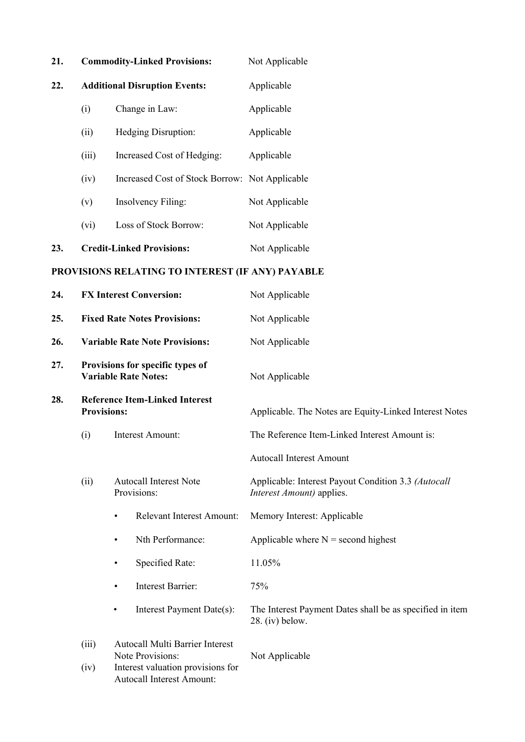| 21. |                                                        | <b>Commodity-Linked Provisions:</b>  | Not Applicable |  |
|-----|--------------------------------------------------------|--------------------------------------|----------------|--|
| 22. |                                                        | <b>Additional Disruption Events:</b> | Applicable     |  |
|     | (i)                                                    | Change in Law:                       | Applicable     |  |
|     | (ii)                                                   | <b>Hedging Disruption:</b>           | Applicable     |  |
|     | (iii)                                                  | Increased Cost of Hedging:           | Applicable     |  |
|     | (iv)<br>Increased Cost of Stock Borrow: Not Applicable |                                      |                |  |
|     | (v)                                                    | <b>Insolvency Filing:</b>            | Not Applicable |  |
|     | (vi)                                                   | Loss of Stock Borrow:                | Not Applicable |  |
| 23. |                                                        | <b>Credit-Linked Provisions:</b>     | Not Applicable |  |

# **PROVISIONS RELATING TO INTEREST (IF ANY) PAYABLE**

| 24. | <b>FX Interest Conversion:</b>                              |                                                                       | Not Applicable                                                                   |  |
|-----|-------------------------------------------------------------|-----------------------------------------------------------------------|----------------------------------------------------------------------------------|--|
| 25. |                                                             | <b>Fixed Rate Notes Provisions:</b>                                   | Not Applicable                                                                   |  |
| 26. |                                                             | <b>Variable Rate Note Provisions:</b>                                 | Not Applicable                                                                   |  |
| 27. |                                                             | Provisions for specific types of<br><b>Variable Rate Notes:</b>       | Not Applicable                                                                   |  |
| 28. | <b>Reference Item-Linked Interest</b><br><b>Provisions:</b> |                                                                       | Applicable. The Notes are Equity-Linked Interest Notes                           |  |
|     | (i)<br>Interest Amount:                                     |                                                                       | The Reference Item-Linked Interest Amount is:                                    |  |
|     |                                                             |                                                                       | <b>Autocall Interest Amount</b>                                                  |  |
|     | (ii)                                                        | <b>Autocall Interest Note</b><br>Provisions:                          | Applicable: Interest Payout Condition 3.3 (Autocall<br>Interest Amount) applies. |  |
|     |                                                             | <b>Relevant Interest Amount:</b><br>$\bullet$                         | Memory Interest: Applicable                                                      |  |
|     |                                                             | Nth Performance:<br>$\bullet$                                         | Applicable where $N =$ second highest                                            |  |
|     |                                                             | Specified Rate:<br>$\bullet$                                          | 11.05%                                                                           |  |
|     |                                                             | Interest Barrier:<br>$\bullet$                                        | 75%                                                                              |  |
|     |                                                             | Interest Payment Date(s):<br>$\bullet$                                | The Interest Payment Dates shall be as specified in item<br>$28.$ (iv) below.    |  |
|     | (iii)                                                       | <b>Autocall Multi Barrier Interest</b><br>Note Provisions:            | Not Applicable                                                                   |  |
|     | (iv)                                                        | Interest valuation provisions for<br><b>Autocall Interest Amount:</b> |                                                                                  |  |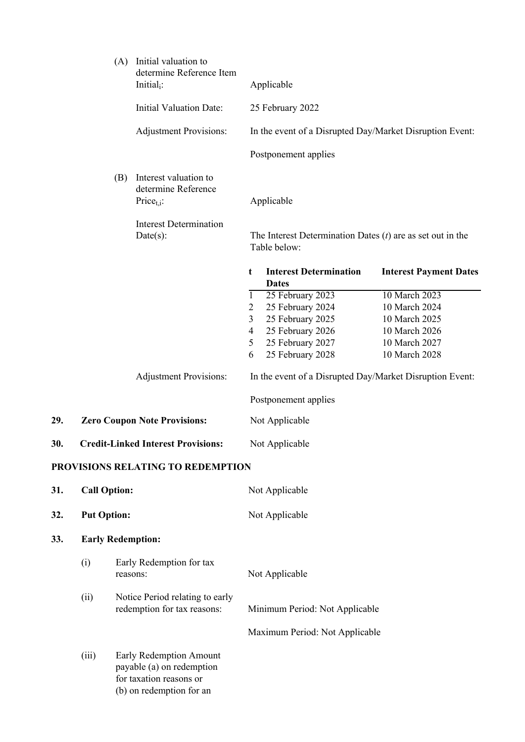|     |                                           | (A)      | Initial valuation to<br>determine Reference Item<br>Initial $_i$ :                                          |                                                              | Applicable                                                                                                           |                                                                                                    |
|-----|-------------------------------------------|----------|-------------------------------------------------------------------------------------------------------------|--------------------------------------------------------------|----------------------------------------------------------------------------------------------------------------------|----------------------------------------------------------------------------------------------------|
|     |                                           |          | <b>Initial Valuation Date:</b>                                                                              |                                                              | 25 February 2022                                                                                                     |                                                                                                    |
|     |                                           |          | <b>Adjustment Provisions:</b>                                                                               |                                                              | In the event of a Disrupted Day/Market Disruption Event:                                                             |                                                                                                    |
|     |                                           |          |                                                                                                             |                                                              | Postponement applies                                                                                                 |                                                                                                    |
|     |                                           | (B)      | Interest valuation to<br>determine Reference<br>Price <sub>t.i</sub> :<br><b>Interest Determination</b>     |                                                              | Applicable                                                                                                           |                                                                                                    |
|     |                                           |          | $Date(s)$ :                                                                                                 |                                                              | The Interest Determination Dates $(t)$ are as set out in the<br>Table below:                                         |                                                                                                    |
|     |                                           |          |                                                                                                             | t                                                            | <b>Interest Determination</b><br><b>Dates</b>                                                                        | <b>Interest Payment Dates</b>                                                                      |
|     |                                           |          |                                                                                                             | $\mathbf{1}$<br>2<br>3<br>$\overline{\mathcal{A}}$<br>5<br>6 | 25 February 2023<br>25 February 2024<br>25 February 2025<br>25 February 2026<br>25 February 2027<br>25 February 2028 | 10 March 2023<br>10 March 2024<br>10 March 2025<br>10 March 2026<br>10 March 2027<br>10 March 2028 |
|     |                                           |          | <b>Adjustment Provisions:</b>                                                                               |                                                              | In the event of a Disrupted Day/Market Disruption Event:                                                             |                                                                                                    |
|     |                                           |          |                                                                                                             |                                                              | Postponement applies                                                                                                 |                                                                                                    |
| 29. |                                           |          | <b>Zero Coupon Note Provisions:</b>                                                                         |                                                              | Not Applicable                                                                                                       |                                                                                                    |
| 30. | <b>Credit-Linked Interest Provisions:</b> |          |                                                                                                             |                                                              | Not Applicable                                                                                                       |                                                                                                    |
|     |                                           |          | PROVISIONS RELATING TO REDEMPTION                                                                           |                                                              |                                                                                                                      |                                                                                                    |
| 31. | <b>Call Option:</b>                       |          |                                                                                                             |                                                              | Not Applicable                                                                                                       |                                                                                                    |
| 32. | <b>Put Option:</b>                        |          |                                                                                                             |                                                              | Not Applicable                                                                                                       |                                                                                                    |
| 33. | <b>Early Redemption:</b>                  |          |                                                                                                             |                                                              |                                                                                                                      |                                                                                                    |
|     | (i)                                       | reasons: | Early Redemption for tax                                                                                    |                                                              | Not Applicable                                                                                                       |                                                                                                    |
|     | (ii)                                      |          | Notice Period relating to early<br>redemption for tax reasons:                                              |                                                              | Minimum Period: Not Applicable                                                                                       |                                                                                                    |
|     |                                           |          |                                                                                                             |                                                              | Maximum Period: Not Applicable                                                                                       |                                                                                                    |
|     | (iii)                                     |          | Early Redemption Amount<br>payable (a) on redemption<br>for taxation reasons or<br>(b) on redemption for an |                                                              |                                                                                                                      |                                                                                                    |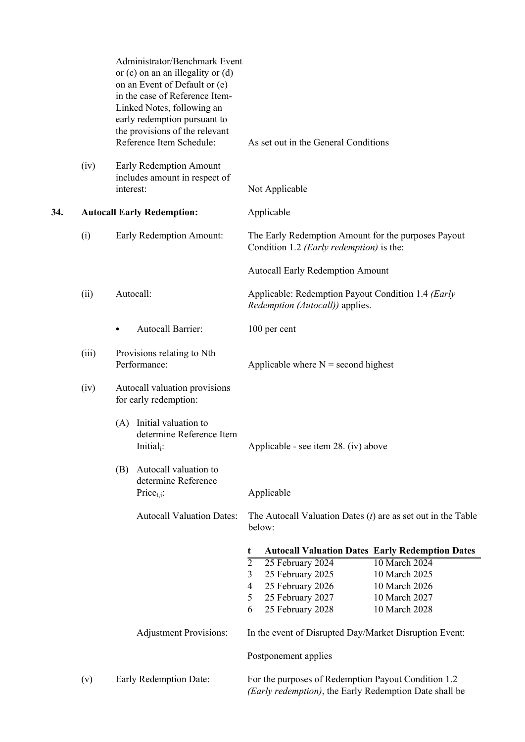|     |       | Administrator/Benchmark Event<br>or $(c)$ on an an illegality or $(d)$<br>on an Event of Default or (e)<br>in the case of Reference Item-<br>Linked Notes, following an<br>early redemption pursuant to<br>the provisions of the relevant<br>Reference Item Schedule: | As set out in the General Conditions                                                                          |
|-----|-------|-----------------------------------------------------------------------------------------------------------------------------------------------------------------------------------------------------------------------------------------------------------------------|---------------------------------------------------------------------------------------------------------------|
|     | (iv)  | Early Redemption Amount<br>includes amount in respect of<br>interest:                                                                                                                                                                                                 | Not Applicable                                                                                                |
| 34. |       | <b>Autocall Early Redemption:</b>                                                                                                                                                                                                                                     | Applicable                                                                                                    |
|     | (i)   | Early Redemption Amount:                                                                                                                                                                                                                                              | The Early Redemption Amount for the purposes Payout<br>Condition 1.2 (Early redemption) is the:               |
|     |       |                                                                                                                                                                                                                                                                       | <b>Autocall Early Redemption Amount</b>                                                                       |
|     | (ii)  | Autocall:                                                                                                                                                                                                                                                             | Applicable: Redemption Payout Condition 1.4 (Early<br>Redemption (Autocall)) applies.                         |
|     |       | Autocall Barrier:<br>٠                                                                                                                                                                                                                                                | 100 per cent                                                                                                  |
|     | (iii) | Provisions relating to Nth<br>Performance:                                                                                                                                                                                                                            | Applicable where $N =$ second highest                                                                         |
|     | (iv)  | Autocall valuation provisions<br>for early redemption:                                                                                                                                                                                                                |                                                                                                               |
|     |       | (A) Initial valuation to<br>determine Reference Item<br>Initial <sub>i</sub> :                                                                                                                                                                                        | Applicable - see item 28. (iv) above                                                                          |
|     |       | Autocall valuation to<br>(B)<br>determine Reference<br>Price $_{t,i}$ :                                                                                                                                                                                               | Applicable                                                                                                    |
|     |       | <b>Autocall Valuation Dates:</b>                                                                                                                                                                                                                                      | The Autocall Valuation Dates $(t)$ are as set out in the Table<br>below:                                      |
|     |       |                                                                                                                                                                                                                                                                       | <b>Autocall Valuation Dates Early Redemption Dates</b><br>t                                                   |
|     |       |                                                                                                                                                                                                                                                                       | $\overline{2}$<br>25 February 2024<br>10 March 2024                                                           |
|     |       |                                                                                                                                                                                                                                                                       | 25 February 2025<br>10 March 2025<br>3<br>25 February 2026<br>4<br>10 March 2026                              |
|     |       |                                                                                                                                                                                                                                                                       | 5<br>25 February 2027<br>10 March 2027                                                                        |
|     |       |                                                                                                                                                                                                                                                                       | 25 February 2028<br>10 March 2028<br>6                                                                        |
|     |       | <b>Adjustment Provisions:</b>                                                                                                                                                                                                                                         | In the event of Disrupted Day/Market Disruption Event:                                                        |
|     |       |                                                                                                                                                                                                                                                                       | Postponement applies                                                                                          |
|     | (v)   | Early Redemption Date:                                                                                                                                                                                                                                                | For the purposes of Redemption Payout Condition 1.2<br>(Early redemption), the Early Redemption Date shall be |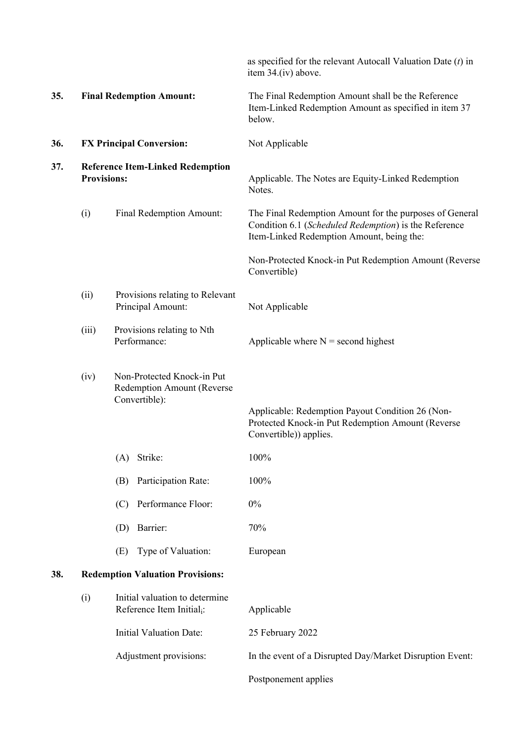|     |                    |                                                                           | as specified for the relevant Autocall Valuation Date $(t)$ in<br>item 34.(iv) above.                                                                         |
|-----|--------------------|---------------------------------------------------------------------------|---------------------------------------------------------------------------------------------------------------------------------------------------------------|
| 35. |                    | <b>Final Redemption Amount:</b>                                           | The Final Redemption Amount shall be the Reference<br>Item-Linked Redemption Amount as specified in item 37<br>below.                                         |
| 36. |                    | <b>FX Principal Conversion:</b>                                           | Not Applicable                                                                                                                                                |
| 37. | <b>Provisions:</b> | <b>Reference Item-Linked Redemption</b>                                   | Applicable. The Notes are Equity-Linked Redemption<br>Notes.                                                                                                  |
|     | (i)                | Final Redemption Amount:                                                  | The Final Redemption Amount for the purposes of General<br>Condition 6.1 (Scheduled Redemption) is the Reference<br>Item-Linked Redemption Amount, being the: |
|     |                    |                                                                           | Non-Protected Knock-in Put Redemption Amount (Reverse<br>Convertible)                                                                                         |
|     | (ii)               | Provisions relating to Relevant<br>Principal Amount:                      | Not Applicable                                                                                                                                                |
|     | (iii)              | Provisions relating to Nth<br>Performance:                                | Applicable where $N =$ second highest                                                                                                                         |
|     | (iv)               | Non-Protected Knock-in Put<br>Redemption Amount (Reverse<br>Convertible): | Applicable: Redemption Payout Condition 26 (Non-<br>Protected Knock-in Put Redemption Amount (Reverse<br>Convertible)) applies.                               |
|     |                    | Strike:<br>(A)                                                            | 100%                                                                                                                                                          |
|     |                    | Participation Rate:<br>(B)                                                | 100%                                                                                                                                                          |
|     |                    | Performance Floor:<br>(C)                                                 | $0\%$                                                                                                                                                         |
|     |                    | Barrier:<br>(D)                                                           | 70%                                                                                                                                                           |
|     |                    | Type of Valuation:<br>(E)                                                 | European                                                                                                                                                      |
| 38. |                    | <b>Redemption Valuation Provisions:</b>                                   |                                                                                                                                                               |
|     | (i)                | Initial valuation to determine<br>Reference Item Initial <sub>i</sub> :   | Applicable                                                                                                                                                    |
|     |                    | <b>Initial Valuation Date:</b>                                            | 25 February 2022                                                                                                                                              |
|     |                    | Adjustment provisions:                                                    | In the event of a Disrupted Day/Market Disruption Event:                                                                                                      |
|     |                    |                                                                           | Postponement applies                                                                                                                                          |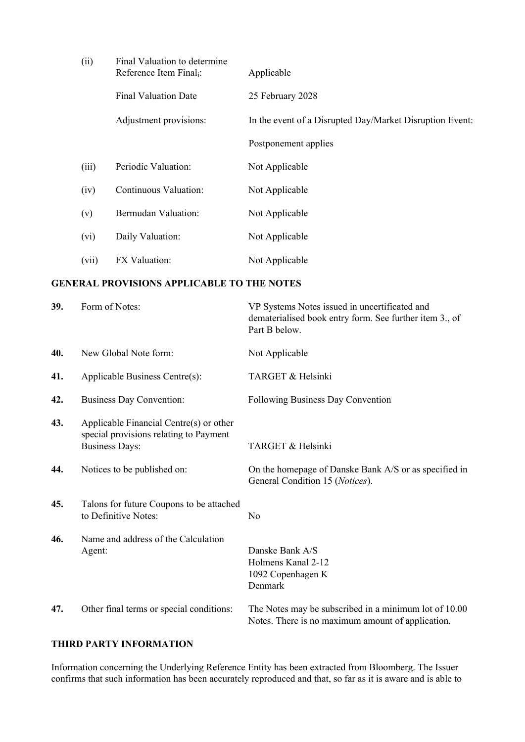| (ii)  | Final Valuation to determine<br>Reference Item Final <sub>i</sub> : | Applicable                                               |
|-------|---------------------------------------------------------------------|----------------------------------------------------------|
|       | <b>Final Valuation Date</b>                                         | 25 February 2028                                         |
|       | Adjustment provisions:                                              | In the event of a Disrupted Day/Market Disruption Event: |
|       |                                                                     | Postponement applies                                     |
| (iii) | Periodic Valuation:                                                 | Not Applicable                                           |
| (iv)  | Continuous Valuation:                                               | Not Applicable                                           |
| (v)   | Bermudan Valuation:                                                 | Not Applicable                                           |
| (vi)  | Daily Valuation:                                                    | Not Applicable                                           |
| (vii) | FX Valuation:                                                       | Not Applicable                                           |

## **GENERAL PROVISIONS APPLICABLE TO THE NOTES**

| 39. | Form of Notes:                                                                                             | VP Systems Notes issued in uncertificated and<br>dematerialised book entry form. See further item 3., of<br>Part B below. |
|-----|------------------------------------------------------------------------------------------------------------|---------------------------------------------------------------------------------------------------------------------------|
| 40. | New Global Note form:                                                                                      | Not Applicable                                                                                                            |
| 41. | Applicable Business Centre(s):                                                                             | TARGET & Helsinki                                                                                                         |
| 42. | <b>Business Day Convention:</b>                                                                            | Following Business Day Convention                                                                                         |
| 43. | Applicable Financial Centre(s) or other<br>special provisions relating to Payment<br><b>Business Days:</b> | TARGET & Helsinki                                                                                                         |
| 44. | Notices to be published on:                                                                                | On the homepage of Danske Bank A/S or as specified in<br>General Condition 15 (Notices).                                  |
| 45. | Talons for future Coupons to be attached<br>to Definitive Notes:                                           | N <sub>o</sub>                                                                                                            |
| 46. | Name and address of the Calculation<br>Agent:                                                              | Danske Bank A/S<br>Holmens Kanal 2-12<br>1092 Copenhagen K<br>Denmark                                                     |
| 47. | Other final terms or special conditions:                                                                   | The Notes may be subscribed in a minimum lot of 10.00<br>Notes. There is no maximum amount of application.                |

## **THIRD PARTY INFORMATION**

Information concerning the Underlying Reference Entity has been extracted from Bloomberg. The Issuer confirms that such information has been accurately reproduced and that, so far as it is aware and is able to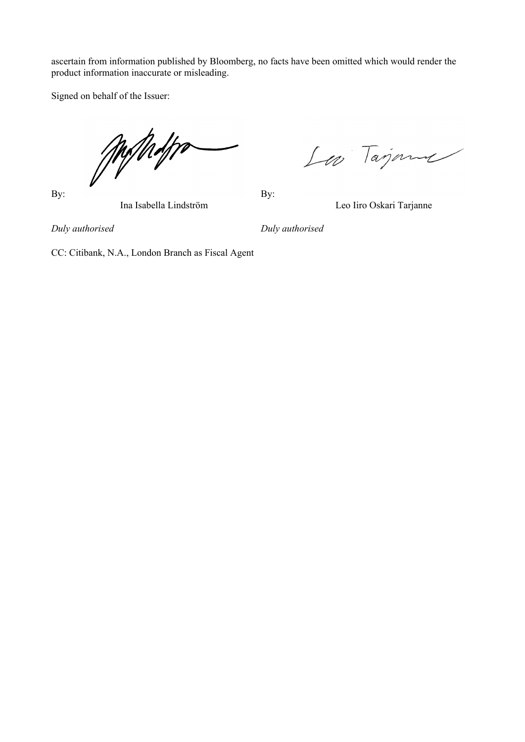ascertain from information published by Bloomberg, no facts have been omitted which would render the product information inaccurate or misleading.

Signed on behalf of the Issuer:

Milholtra

By: By:

Los Tajana

Ina Isabella Lindström Leo Iiro Oskari Tarjanne

*Duly authorised Duly authorised*

CC: Citibank, N.A., London Branch as Fiscal Agent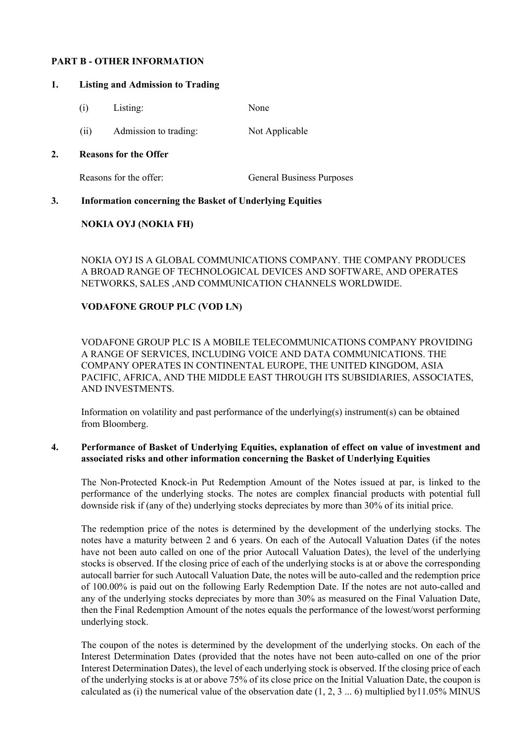## **PART B - OTHER INFORMATION**

#### **1. Listing and Admission to Trading**

- (i) Listing: None
- (ii) Admission to trading: Not Applicable

#### **2. Reasons for the Offer**

Reasons for the offer: General Business Purposes

## **3. Information concerning the Basket of Underlying Equities**

## **NOKIA OYJ (NOKIA FH)**

NOKIA OYJ IS A GLOBAL COMMUNICATIONS COMPANY. THE COMPANY PRODUCES A BROAD RANGE OF TECHNOLOGICAL DEVICES AND SOFTWARE, AND OPERATES NETWORKS, SALES ,AND COMMUNICATION CHANNELS WORLDWIDE.

## **VODAFONE GROUP PLC (VOD LN)**

VODAFONE GROUP PLC IS A MOBILE TELECOMMUNICATIONS COMPANY PROVIDING A RANGE OF SERVICES, INCLUDING VOICE AND DATA COMMUNICATIONS. THE COMPANY OPERATES IN CONTINENTAL EUROPE, THE UNITED KINGDOM, ASIA PACIFIC, AFRICA, AND THE MIDDLE EAST THROUGH ITS SUBSIDIARIES, ASSOCIATES, AND INVESTMENTS.

Information on volatility and past performance of the underlying(s) instrument(s) can be obtained from Bloomberg.

## **4. Performance of Basket of Underlying Equities, explanation of effect on value of investment and associated risks and other information concerning the Basket of Underlying Equities**

The Non-Protected Knock-in Put Redemption Amount of the Notes issued at par, is linked to the performance of the underlying stocks. The notes are complex financial products with potential full downside risk if (any of the) underlying stocks depreciates by more than 30% of its initial price.

The redemption price of the notes is determined by the development of the underlying stocks. The notes have a maturity between 2 and 6 years. On each of the Autocall Valuation Dates (if the notes have not been auto called on one of the prior Autocall Valuation Dates), the level of the underlying stocks is observed. If the closing price of each of the underlying stocks is at or above the corresponding autocall barrier for such Autocall Valuation Date, the notes will be auto-called and the redemption price of 100.00% is paid out on the following Early Redemption Date. If the notes are not auto-called and any of the underlying stocks depreciates by more than 30% as measured on the Final Valuation Date, then the Final Redemption Amount of the notes equals the performance of the lowest/worst performing underlying stock.

The coupon of the notes is determined by the development of the underlying stocks. On each of the Interest Determination Dates (provided that the notes have not been auto-called on one of the prior Interest Determination Dates), the level of each underlying stock is observed. If the closing price of each of the underlying stocks is at or above 75% of its close price on the Initial Valuation Date, the coupon is calculated as (i) the numerical value of the observation date  $(1, 2, 3... 6)$  multiplied by 11.05% MINUS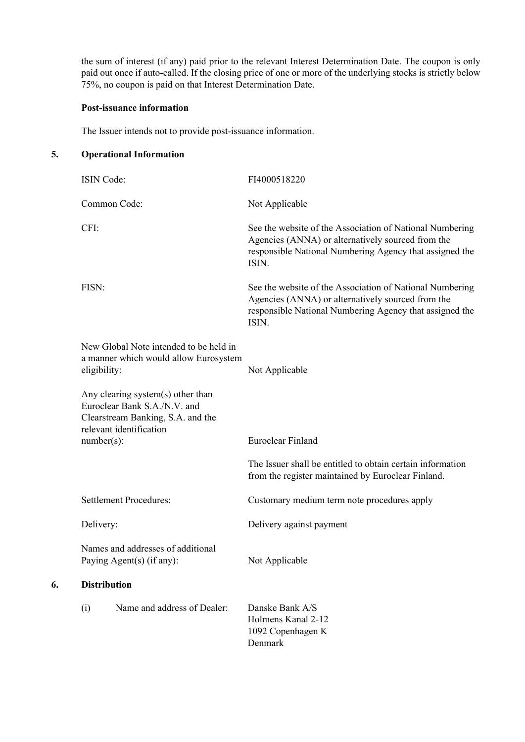the sum of interest (if any) paid prior to the relevant Interest Determination Date. The coupon is only paid out once if auto-called. If the closing price of one or more of the underlying stocks is strictly below 75%, no coupon is paid on that Interest Determination Date.

## **Post-issuance information**

The Issuer intends not to provide post-issuance information.

## **5. Operational Information**

**6. Distribution**

| <b>ISIN Code:</b>                                                                                                                 | FI4000518220                                                                                                                                                                      |
|-----------------------------------------------------------------------------------------------------------------------------------|-----------------------------------------------------------------------------------------------------------------------------------------------------------------------------------|
| Common Code:                                                                                                                      | Not Applicable                                                                                                                                                                    |
| CFI:                                                                                                                              | See the website of the Association of National Numbering<br>Agencies (ANNA) or alternatively sourced from the<br>responsible National Numbering Agency that assigned the<br>ISIN. |
| FISN:                                                                                                                             | See the website of the Association of National Numbering<br>Agencies (ANNA) or alternatively sourced from the<br>responsible National Numbering Agency that assigned the<br>ISIN. |
| New Global Note intended to be held in<br>a manner which would allow Eurosystem<br>eligibility:                                   | Not Applicable                                                                                                                                                                    |
| Any clearing system(s) other than<br>Euroclear Bank S.A./N.V. and<br>Clearstream Banking, S.A. and the<br>relevant identification |                                                                                                                                                                                   |
| $number(s)$ :                                                                                                                     | <b>Euroclear Finland</b>                                                                                                                                                          |
|                                                                                                                                   | The Issuer shall be entitled to obtain certain information<br>from the register maintained by Euroclear Finland.                                                                  |
| <b>Settlement Procedures:</b>                                                                                                     | Customary medium term note procedures apply                                                                                                                                       |
| Delivery:                                                                                                                         | Delivery against payment                                                                                                                                                          |
| Names and addresses of additional<br>Paying Agent(s) (if any):                                                                    | Not Applicable                                                                                                                                                                    |
| <b>Distribution</b>                                                                                                               |                                                                                                                                                                                   |
| Name and address of Dealer:<br>(i)                                                                                                | Danske Bank A/S<br>Holmens Kanal 2-12<br>1092 Copenhagen K<br>Denmark                                                                                                             |